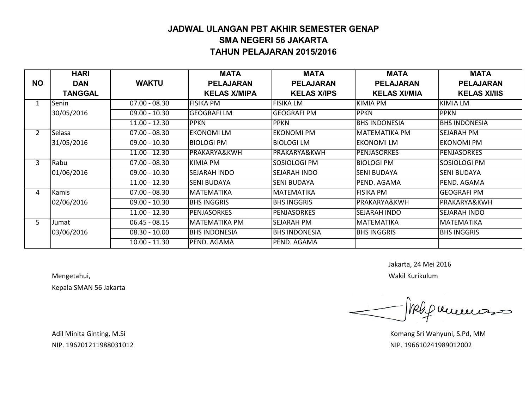#### **JADWAL ULANGAN PBT AKHIR SEMESTER GENAP SMA NEGERI 56 JAKARTA TAHUN PELAJARAN 2015/2016**

|                | <b>HARI</b>    |                 | <b>MATA</b>             | <b>MATA</b>          | <b>MATA</b>             | <b>MATA</b>             |
|----------------|----------------|-----------------|-------------------------|----------------------|-------------------------|-------------------------|
| <b>NO</b>      | <b>DAN</b>     | <b>WAKTU</b>    | <b>PELAJARAN</b>        | <b>PELAJARAN</b>     | <b>PELAJARAN</b>        | <b>PELAJARAN</b>        |
|                | <b>TANGGAL</b> |                 | <b>KELAS X/MIPA</b>     | <b>KELAS X/IPS</b>   | <b>KELAS XI/MIA</b>     | <b>KELAS XI/IIS</b>     |
| 1              | Senin          | $07.00 - 08.30$ | <b>FISIKA PM</b>        | IFISIKA LM           | KIMIA PM                | <b>KIMIA LM</b>         |
|                | 30/05/2016     | $09.00 - 10.30$ | <b>GEOGRAFI LM</b>      | <b>GEOGRAFI PM</b>   | <b>PPKN</b>             | <b>PPKN</b>             |
|                |                | $11.00 - 12.30$ | <b>PPKN</b>             | <b>PPKN</b>          | <b>BHS INDONESIA</b>    | <b>BHS INDONESIA</b>    |
| $\overline{2}$ | Selasa         | $07.00 - 08.30$ | <b>EKONOMILM</b>        | <b>EKONOMI PM</b>    | <b>MATEMATIKA PM</b>    | <b>SEJARAH PM</b>       |
|                | 31/05/2016     | $09.00 - 10.30$ | <b>BIOLOGI PM</b>       | BIOLOGI LM           | EKONOMI LM              | <b>EKONOMI PM</b>       |
|                |                | $11.00 - 12.30$ | <b>PRAKARYA&amp;KWH</b> | PRAKARYA&KWH         | <b>PENJASORKES</b>      | <b>PENJASORKES</b>      |
| 3              | Rabu           | $07.00 - 08.30$ | <b>KIMIA PM</b>         | SOSIOLOGI PM         | <b>BIOLOGI PM</b>       | SOSIOLOGI PM            |
|                | 01/06/2016     | $09.00 - 10.30$ | SEJARAH INDO            | <b>SEJARAH INDO</b>  | SENI BUDAYA             | <b>SENI BUDAYA</b>      |
|                |                | $11.00 - 12.30$ | <b>SENI BUDAYA</b>      | <b>SENI BUDAYA</b>   | PEND. AGAMA             | PEND. AGAMA             |
| 4              | Kamis          | $07.00 - 08.30$ | <b>MATEMATIKA</b>       | MATEMATIKA           | <b>FISIKA PM</b>        | <b>GEOGRAFI PM</b>      |
|                | 02/06/2016     | $09.00 - 10.30$ | <b>BHS INGGRIS</b>      | BHS INGGRIS          | <b>PRAKARYA&amp;KWH</b> | <b>PRAKARYA&amp;KWH</b> |
|                |                | $11.00 - 12.30$ | <b>PENJASORKES</b>      | IPENJASORKES         | <b>SEJARAH INDO</b>     | <b>SEJARAH INDO</b>     |
| 5              | Jumat          | $06.45 - 08.15$ | İMATEMATIKA PM          | SEJARAH PM           | <b>MATEMATIKA</b>       | <b>MATEMATIKA</b>       |
|                | 03/06/2016     | $08.30 - 10.00$ | <b>BHS INDONESIA</b>    | <b>BHS INDONESIA</b> | <b>BHS INGGRIS</b>      | <b>BHS INGGRIS</b>      |
|                |                | $10.00 - 11.30$ | PEND. AGAMA             | PEND. AGAMA          |                         |                         |

Kepala SMAN 56 Jakarta

Jakarta, 24 Mei 2016

Mengetahui, Wakil Kurikulum

Melip recreements

Adil Minita Ginting, M.Si **Komang Sri Wahyuni, S.Pd, MM** Adil Minita Ginting, M.Si NIP. 196201211988031012 NIP. 196610241989012002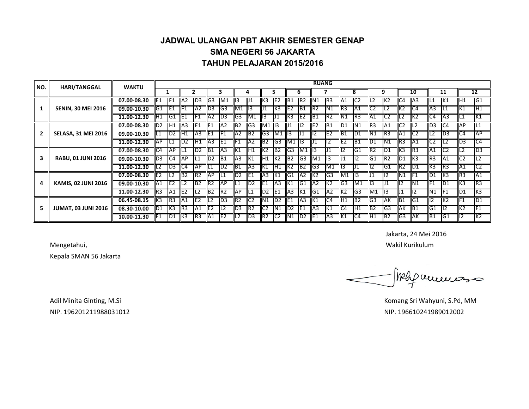#### **JADWAL ULANGAN PBT AKHIR SEMESTER GENAP SMA NEGERI 56 JAKARTA TAHUN PELAJARAN 2015/2016**

| NO.            | <b>HARI/TANGGAL</b>        | <b>WAKTU</b> |                 |                 |                 |                  |                |                  |                 |                 |                 |                 |                 |                 | <b>RUANG</b>    |                 |                 |                 |                |                 |                 |                 |                 |                 |                 |                |
|----------------|----------------------------|--------------|-----------------|-----------------|-----------------|------------------|----------------|------------------|-----------------|-----------------|-----------------|-----------------|-----------------|-----------------|-----------------|-----------------|-----------------|-----------------|----------------|-----------------|-----------------|-----------------|-----------------|-----------------|-----------------|----------------|
|                |                            |              |                 |                 |                 |                  |                | 3                |                 | 4               |                 |                 |                 | 6               |                 |                 |                 | 8               |                | 9               |                 | 10              |                 | 11              |                 | 12             |
|                |                            | 07.00-08.30  | E <sub>1</sub>  | IF <sub>1</sub> | IA <sub>2</sub> | $\overline{1D3}$ | G3             | IM <sub>1</sub>  | 113             | IJ1             | K <sub>3</sub>  | IE <sub>2</sub> | B <sub>1</sub>  | IR2             | N1              | IR3             | IA <sub>1</sub> | IC2             | IL2            | IK2             | C4              | IA <sub>3</sub> | IL1             | IK1             | IH1             | IG1            |
|                | <b>SENIN, 30 MEI 2016</b>  | 09.00-10.30  | G1              | TE1             | llF1            | A2               | ID3.           | IG3              | M1              | TI3             |                 | IK3             | E <sub>2</sub>  | IB <sub>1</sub> | IR <sub>2</sub> | IN1             | R <sub>3</sub>  | IA1             | C2             | L2              | IK2             | IC4             | IA <sub>3</sub> | IL1             | K1              | IH1            |
|                |                            | 11.00-12.30  | ΙH1             | IG1             | IE1             | IF1              | A <sub>2</sub> | $\overline{1}D3$ | G3              | IM1             | 1113            |                 | K3              | IE <sub>2</sub> | IB1             | IR2             | N1              | TR3             | A1             | IC2             | IL2             | IK2             | IC4             | IA3             | L1              | IK1            |
| $\overline{2}$ |                            | 07.00-08.30  | ID2             | TH1             | IA <sub>3</sub> | IE1              |                | IA <sub>2</sub>  | B <sub>2</sub>  | IG3             | M1 13           |                 |                 | $\mathsf{II2}$  | IE <sub>2</sub> | IB1             | ID1             | IN1             | R <sub>3</sub> | IA1             | IC2             | TL2             | ID3             | IC4             | <b>IAP</b>      | IL1            |
|                | <b>SELASA, 31 MEI 2016</b> | 09.00-10.30  |                 | ID <sub>2</sub> | TH1             | IA3              | IIE1           | IF1              | IA <sub>2</sub> | IB <sub>2</sub> | IG3 M1          |                 | 1113            | IJ1             | 12.             | IE2             | IB1             | ID1             | N1             | IR3             | IA1             | IC2             | IL2             | ID3             | C4              | <b>IAP</b>     |
|                |                            | 11.00-12.30  | <b>AP</b>       | IL1             | ID2             | H1               | A3             | IE <sub>1</sub>  | IF1             | IA <sub>2</sub> | B <sub>2</sub>  | IG3             | M1 13           |                 | IJ1             | ll2             | IE <sub>2</sub> | IB1             | D <sub>1</sub> | IN1             | IR <sub>3</sub> | IA1             | IC2             | TL2             | $\overline{D}3$ | C4             |
|                | <b>RABU, 01 JUNI 2016</b>  | 07.00-08.30  | C4              | <b>IAP</b>      | ۱1              | ID <sub>2</sub>  | B1             | IA <sub>3</sub>  | K1              | TH1             | K2              | IB <sub>2</sub> | G3              | IM1             | 13              |                 | lli2            | IG1             | R <sub>2</sub> | ID1             | K3              | IR3             | IA1             | IC2             | L2              | D <sub>3</sub> |
| з              |                            | 09.00-10.30  | D <sub>3</sub>  | IC4             | <b>IAP</b>      | IL1              | ID2            | IB <sub>1</sub>  | IA3             | IK1             | IH1 K2          |                 | B <sub>2</sub>  | IG3             | M1              | 113             | 101             | TI2             | G1             | IR <sub>2</sub> | ID1             | TK3             | IR <sub>3</sub> | IA <sub>1</sub> | IC <sub>2</sub> | L2             |
|                |                            | 11.00-12.30  | ΙLΖ             | ID3             | IC4             | <b>TAP</b>       | ILI            | ID <sub>2</sub>  | IB1             | TA <sub>3</sub> | IK1             | TH1             | K2              | IB2             | IG3             | IM1             | TII3            | IJ1             | II2            | IG1             | IR2             | ID1             | IK3             | TR3             | IA1             | IC2            |
|                |                            | 07.00-08.30  | IE <sub>2</sub> | IL <sub>2</sub> | IB <sub>2</sub> | IR <sub>2</sub>  | AP             | IL1              | D <sub>2</sub>  | IE1             | A3              | IK1             | G1              | IA <sub>2</sub> | K <sub>2</sub>  | IG3             | M1 13           |                 | ll 1           | ll2             | N1              | IF1             | ID1             | TK3             | IR <sub>3</sub> | IA1            |
| 4              | <b>KAMIS, 02 JUNI 2016</b> | 09.00-10.30  | IA1             | IE2             | L2              | IB2              | R2             | <b>TAP</b>       | IL1             | ID <sub>2</sub> | IE1             | IA3             | К1              | IG1             | IA2             | IK2             | IG3             | M1              | 113            | J1              | III2            | IN1             | IF1             | ID1             | K3              | IR3            |
|                |                            | 11.00-12.30  | R3              | IA1             | TIE2            | IL2              | <b>B2</b>      | IR2              | <b>TAP</b>      | TL1             | ID2 IE1         |                 | $\overline{A3}$ | IK1             | IG1             | IA2             | IK2             | IG3             | M1             | TI3             | 101             | 112             | N1              | IF1             | ID1             | IK3            |
|                |                            | 06.45-08.15  | lK3             | IR3             | IIA1            | IE <sub>2</sub>  |                | ID3              | R <sub>2</sub>  | IC <sub>2</sub> | Ν1              | ID2             | IE <sub>1</sub> | IA <sub>3</sub> | K <sub>1</sub>  | IC4             | IH <sub>1</sub> | IB <sub>2</sub> | G3             | <b>IAK</b>      | 1B1             | IG1             | llI2            | IK2             | F1              | ID1            |
| 5              | <b>JUMAT, 03 JUNI 2016</b> | 08.30-10.00  | ID <sub>1</sub> | ТКЗ             | IR <sub>3</sub> | A <sub>1</sub>   | E <sub>2</sub> | IL <sub>2</sub>  | D <sub>3</sub>  | R2              | TC <sub>2</sub> | N1              | ID <sub>2</sub> | IE <sub>1</sub> | IA <sub>3</sub> | IK1             | IC4             | ĪΗ1             | B <sub>2</sub> | IG3             | IАK             | TB1             | IG1             | TI2             | K <sub>2</sub>  | IF1            |
|                |                            | 10.00-11.30  | IF1             | ID1             | IK3             | R3               | A1             | IE <sub>2</sub>  | IL <sub>2</sub> | ID3             | IR2             | C <sub>2</sub>  | N1              | D2              | IE1             | IA <sub>3</sub> | IK1             | IC4             | IH1            | IB <sub>2</sub> | IG3             | <b>IAK</b>      | IB <sub>1</sub> | IG1             | 12              | K2             |

Jakarta, 24 Mei 2016

Mengetahui, Wakil Kurikulum and terminal ke mengetahui, Wakil Kurikulum and terminal ke mengetahui, Wakil Kurikulum

Kepala SMAN 56 Jakarta

map nemet 200

Adil Minita Ginting, M.Si **Komang Sri Wahyuni, S.Pd, MM** NIP. 196201211988031012 NIP. 196610241989012002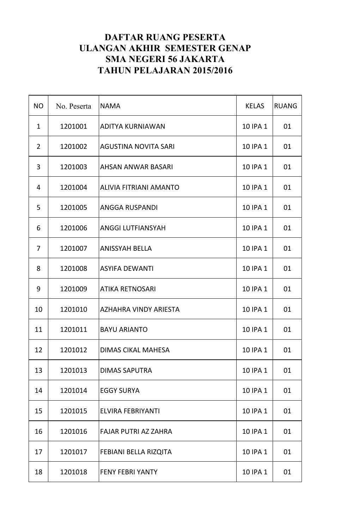| <b>NO</b>      | No. Peserta | <b>NAMA</b>                   | <b>KELAS</b> | <b>RUANG</b> |
|----------------|-------------|-------------------------------|--------------|--------------|
| $\mathbf{1}$   | 1201001     | <b>ADITYA KURNIAWAN</b>       | 10 IPA 1     | 01           |
| $\overline{2}$ | 1201002     | <b>AGUSTINA NOVITA SARI</b>   | 10 IPA 1     | 01           |
| 3              | 1201003     | <b>AHSAN ANWAR BASARI</b>     | 10 IPA 1     | 01           |
| 4              | 1201004     | <b>ALIVIA FITRIANI AMANTO</b> | 10 IPA 1     | 01           |
| 5              | 1201005     | <b>ANGGA RUSPANDI</b>         | 10 IPA 1     | 01           |
| 6              | 1201006     | <b>ANGGI LUTFIANSYAH</b>      | 10 IPA 1     | 01           |
| 7              | 1201007     | <b>ANISSYAH BELLA</b>         | 10 IPA 1     | 01           |
| 8              | 1201008     | <b>ASYIFA DEWANTI</b>         | 10 IPA 1     | 01           |
| 9              | 1201009     | <b>ATIKA RETNOSARI</b>        | 10 IPA 1     | 01           |
| 10             | 1201010     | <b>AZHAHRA VINDY ARIESTA</b>  | 10 IPA 1     | 01           |
| 11             | 1201011     | <b>BAYU ARIANTO</b>           | 10 IPA 1     | 01           |
| 12             | 1201012     | DIMAS CIKAL MAHESA            | 10 IPA 1     | 01           |
| 13             | 1201013     | <b>DIMAS SAPUTRA</b>          | 10 IPA 1     | 01           |
| 14             | 1201014     | <b>EGGY SURYA</b>             | 10 IPA 1     | 01           |
| 15             | 1201015     | <b>ELVIRA FEBRIYANTI</b>      | 10 IPA 1     | 01           |
| 16             | 1201016     | <b>FAJAR PUTRI AZ ZAHRA</b>   | 10 IPA 1     | 01           |
| 17             | 1201017     | <b>FEBIANI BELLA RIZQITA</b>  | 10 IPA 1     | 01           |
| 18             | 1201018     | <b>FENY FEBRI YANTY</b>       | 10 IPA 1     | 01           |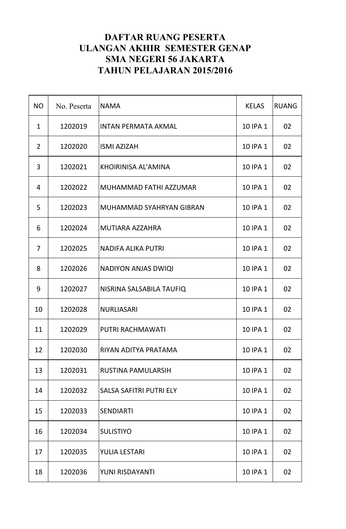| <b>NO</b>      | No. Peserta | <b>NAMA</b>                    | <b>KELAS</b> | <b>RUANG</b> |
|----------------|-------------|--------------------------------|--------------|--------------|
| $\mathbf{1}$   | 1202019     | <b>INTAN PERMATA AKMAL</b>     | 10 IPA 1     | 02           |
| $\overline{2}$ | 1202020     | <b>ISMI AZIZAH</b>             | 10 IPA 1     | 02           |
| 3              | 1202021     | KHOIRINISA AL'AMINA            | 10 IPA 1     | 02           |
| 4              | 1202022     | MUHAMMAD FATHI AZZUMAR         | 10 IPA 1     | 02           |
| 5              | 1202023     | MUHAMMAD SYAHRYAN GIBRAN       | 10 IPA 1     | 02           |
| 6              | 1202024     | <b>MUTIARA AZZAHRA</b>         | 10 IPA 1     | 02           |
| 7              | 1202025     | <b>NADIFA ALIKA PUTRI</b>      | 10 IPA 1     | 02           |
| 8              | 1202026     | <b>NADIYON ANJAS DWIQI</b>     | 10 IPA 1     | 02           |
| 9              | 1202027     | NISRINA SALSABILA TAUFIQ       | 10 IPA 1     | 02           |
| 10             | 1202028     | <b>NURLIASARI</b>              | 10 IPA 1     | 02           |
| 11             | 1202029     | PUTRI RACHMAWATI               | 10 IPA 1     | 02           |
| 12             | 1202030     | RIYAN ADITYA PRATAMA           | 10 IPA 1     | 02           |
| 13             | 1202031     | <b>RUSTINA PAMULARSIH</b>      | 10 IPA 1     | 02           |
| 14             | 1202032     | <b>SALSA SAFITRI PUTRI ELY</b> | 10 IPA 1     | 02           |
| 15             | 1202033     | <b>SENDIARTI</b>               | 10 IPA 1     | 02           |
| 16             | 1202034     | <b>SULISTIYO</b>               | 10 IPA 1     | 02           |
| 17             | 1202035     | <b>YULIA LESTARI</b>           | 10 IPA 1     | 02           |
| 18             | 1202036     | YUNI RISDAYANTI                | 10 IPA 1     | 02           |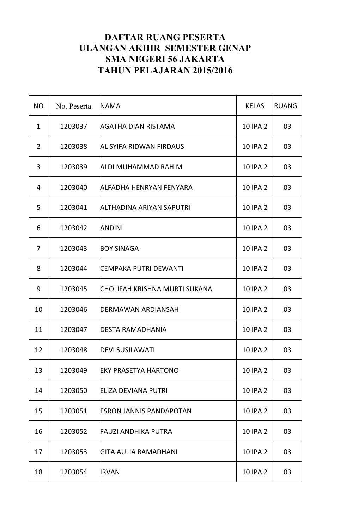| <b>NO</b>      | No. Peserta | <b>NAMA</b>                     | <b>KELAS</b>    | <b>RUANG</b> |
|----------------|-------------|---------------------------------|-----------------|--------------|
| $\mathbf{1}$   | 1203037     | <b>AGATHA DIAN RISTAMA</b>      | 10 IPA 2        | 03           |
| $\overline{2}$ | 1203038     | AL SYIFA RIDWAN FIRDAUS         | 10 IPA 2        | 03           |
| 3              | 1203039     | ALDI MUHAMMAD RAHIM             | <b>10 IPA 2</b> | 03           |
| 4              | 1203040     | ALFADHA HENRYAN FENYARA         | <b>10 IPA 2</b> | 03           |
| 5              | 1203041     | <b>ALTHADINA ARIYAN SAPUTRI</b> | 10 IPA 2        | 03           |
| 6              | 1203042     | <b>ANDINI</b>                   | 10 IPA 2        | 03           |
| 7              | 1203043     | <b>BOY SINAGA</b>               | 10 IPA 2        | 03           |
| 8              | 1203044     | <b>CEMPAKA PUTRI DEWANTI</b>    | 10 IPA 2        | 03           |
| 9              | 1203045     | CHOLIFAH KRISHNA MURTI SUKANA   | 10 IPA 2        | 03           |
| 10             | 1203046     | DERMAWAN ARDIANSAH              | 10 IPA 2        | 03           |
| 11             | 1203047     | <b>DESTA RAMADHANIA</b>         | 10 IPA 2        | 03           |
| 12             | 1203048     | <b>DEVI SUSILAWATI</b>          | 10 IPA 2        | 03           |
| 13             | 1203049     | <b>EKY PRASETYA HARTONO</b>     | 10 IPA 2        | 03           |
| 14             | 1203050     | ELIZA DEVIANA PUTRI             | 10 IPA 2        | 03           |
| 15             | 1203051     | <b>ESRON JANNIS PANDAPOTAN</b>  | 10 IPA 2        | 03           |
| 16             | 1203052     | <b>FAUZI ANDHIKA PUTRA</b>      | 10 IPA 2        | 03           |
| 17             | 1203053     | <b>GITA AULIA RAMADHANI</b>     | 10 IPA 2        | 03           |
| 18             | 1203054     | <b>IRVAN</b>                    | 10 IPA 2        | 03           |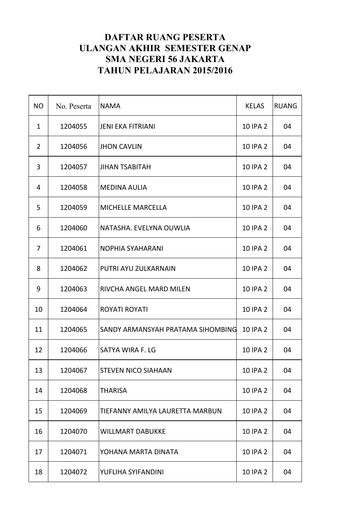| <b>NO</b>      | No. Peserta | <b>NAMA</b>                       | <b>KELAS</b>    | <b>RUANG</b> |
|----------------|-------------|-----------------------------------|-----------------|--------------|
| $\mathbf{1}$   | 1204055     | <b>JENI EKA FITRIANI</b>          | 10 IPA 2        | 04           |
| $\overline{2}$ | 1204056     | <b>JHON CAVLIN</b>                | 10 IPA 2        | 04           |
| 3              | 1204057     | <b>JIHAN TSABITAH</b>             | 10 IPA 2        | 04           |
| 4              | 1204058     | <b>MEDINA AULIA</b>               | 10 IPA 2        | 04           |
| 5              | 1204059     | <b>MICHELLE MARCELLA</b>          | 10 IPA 2        | 04           |
| 6              | 1204060     | NATASHA. EVELYNA OUWLIA           | 10 IPA 2        | 04           |
| 7              | 1204061     | <b>NOPHIA SYAHARANI</b>           | 10 IPA 2        | 04           |
| 8              | 1204062     | PUTRI AYU ZULKARNAIN              | 10 IPA 2        | 04           |
| 9              | 1204063     | RIVCHA ANGEL MARD MILEN           | 10 IPA 2        | 04           |
| 10             | 1204064     | <b>ROYATI ROYATI</b>              | 10 IPA 2        | 04           |
| 11             | 1204065     | SANDY ARMANSYAH PRATAMA SIHOMBING | 10 IPA 2        | 04           |
| 12             | 1204066     | SATYA WIRA F. LG                  | <b>10 IPA 2</b> | 04           |
| 13             | 1204067     | <b>STEVEN NICO SIAHAAN</b>        | <b>10 IPA 2</b> | 04           |
| 14             | 1204068     | <b>THARISA</b>                    | 10 IPA 2        | 04           |
| 15             | 1204069     | TIEFANNY AMILYA LAURETTA MARBUN   | 10 IPA 2        | 04           |
| 16             | 1204070     | <b>WILLMART DABUKKE</b>           | 10 IPA 2        | 04           |
| 17             | 1204071     | YOHANA MARTA DINATA               | 10 IPA 2        | 04           |
| 18             | 1204072     | YUFLIHA SYIFANDINI                | 10 IPA 2        | 04           |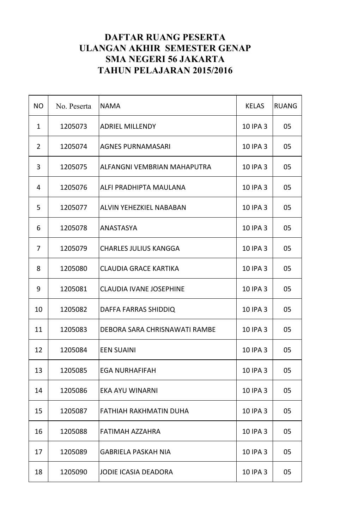| <b>NO</b>      | No. Peserta | <b>NAMA</b>                    | <b>KELAS</b> | <b>RUANG</b> |
|----------------|-------------|--------------------------------|--------------|--------------|
| $\mathbf{1}$   | 1205073     | <b>ADRIEL MILLENDY</b>         | 10 IPA 3     | 05           |
| $\overline{2}$ | 1205074     | <b>AGNES PURNAMASARI</b>       | 10 IPA 3     | 05           |
| 3              | 1205075     | ALFANGNI VEMBRIAN MAHAPUTRA    | 10 IPA 3     | 05           |
| 4              | 1205076     | ALFI PRADHIPTA MAULANA         | 10 IPA 3     | 05           |
| 5              | 1205077     | <b>ALVIN YEHEZKIEL NABABAN</b> | 10 IPA 3     | 05           |
| 6              | 1205078     | ANASTASYA                      | 10 IPA 3     | 05           |
| 7              | 1205079     | <b>CHARLES JULIUS KANGGA</b>   | 10 IPA 3     | 05           |
| 8              | 1205080     | <b>CLAUDIA GRACE KARTIKA</b>   | 10 IPA 3     | 05           |
| 9              | 1205081     | <b>CLAUDIA IVANE JOSEPHINE</b> | 10 IPA 3     | 05           |
| 10             | 1205082     | DAFFA FARRAS SHIDDIQ           | 10 IPA 3     | 05           |
| 11             | 1205083     | DEBORA SARA CHRISNAWATI RAMBE  | 10 IPA 3     | 05           |
| 12             | 1205084     | <b>EEN SUAINI</b>              | 10 IPA 3     | 05           |
| 13             | 1205085     | <b>EGA NURHAFIFAH</b>          | 10 IPA 3     | 05           |
| 14             | 1205086     | EKA AYU WINARNI                | 10 IPA 3     | 05           |
| 15             | 1205087     | FATHIAH RAKHMATIN DUHA         | 10 IPA 3     | 05           |
| 16             | 1205088     | FATIMAH AZZAHRA                | 10 IPA 3     | 05           |
| 17             | 1205089     | <b>GABRIELA PASKAH NIA</b>     | 10 IPA 3     | 05           |
| 18             | 1205090     | <b>JODIE ICASIA DEADORA</b>    | 10 IPA 3     | 05           |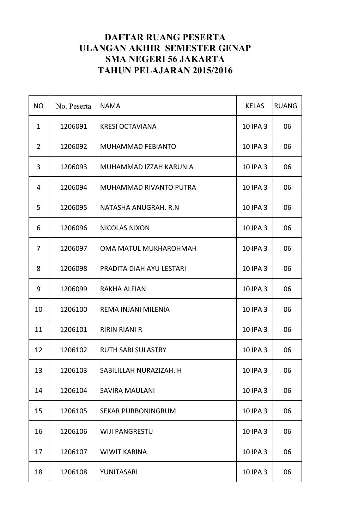| <b>NO</b>      | No. Peserta | <b>NAMA</b>                | <b>KELAS</b> | <b>RUANG</b> |
|----------------|-------------|----------------------------|--------------|--------------|
| $\mathbf{1}$   | 1206091     | <b>KRESI OCTAVIANA</b>     | 10 IPA 3     | 06           |
| $\overline{2}$ | 1206092     | <b>MUHAMMAD FEBIANTO</b>   | 10 IPA 3     | 06           |
| 3              | 1206093     | MUHAMMAD IZZAH KARUNIA     | 10 IPA 3     | 06           |
| 4              | 1206094     | MUHAMMAD RIVANTO PUTRA     | 10 IPA 3     | 06           |
| 5              | 1206095     | NATASHA ANUGRAH. R.N       | 10 IPA 3     | 06           |
| 6              | 1206096     | <b>NICOLAS NIXON</b>       | 10 IPA 3     | 06           |
| 7              | 1206097     | OMA MATUL MUKHAROHMAH      | 10 IPA 3     | 06           |
| 8              | 1206098     | PRADITA DIAH AYU LESTARI   | 10 IPA 3     | 06           |
| 9              | 1206099     | <b>RAKHA ALFIAN</b>        | 10 IPA 3     | 06           |
| 10             | 1206100     | <b>REMA INJANI MILENIA</b> | 10 IPA 3     | 06           |
| 11             | 1206101     | <b>RIRIN RIANI R</b>       | 10 IPA 3     | 06           |
| 12             | 1206102     | <b>RUTH SARI SULASTRY</b>  | 10 IPA 3     | 06           |
| 13             | 1206103     | SABILILLAH NURAZIZAH. H    | 10 IPA 3     | 06           |
| 14             | 1206104     | <b>SAVIRA MAULANI</b>      | 10 IPA 3     | 06           |
| 15             | 1206105     | <b>SEKAR PURBONINGRUM</b>  | 10 IPA 3     | 06           |
| 16             | 1206106     | <b>WIJI PANGRESTU</b>      | 10 IPA 3     | 06           |
| 17             | 1206107     | <b>WIWIT KARINA</b>        | 10 IPA 3     | 06           |
| 18             | 1206108     | YUNITASARI                 | 10 IPA 3     | 06           |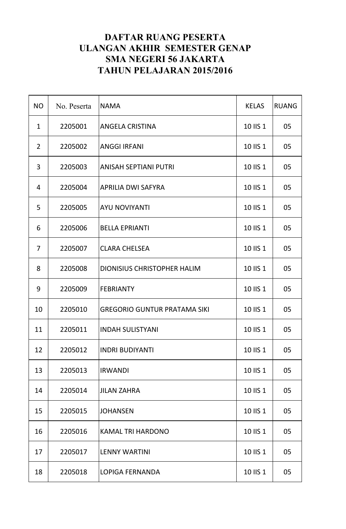| <b>NO</b>      | No. Peserta | <b>NAMA</b>                         | <b>KELAS</b> | <b>RUANG</b> |
|----------------|-------------|-------------------------------------|--------------|--------------|
| $\mathbf{1}$   | 2205001     | <b>ANGELA CRISTINA</b>              | 10 IIS 1     | 05           |
| $\overline{2}$ | 2205002     | <b>ANGGI IRFANI</b>                 | 10 IIS 1     | 05           |
| 3              | 2205003     | <b>ANISAH SEPTIANI PUTRI</b>        | 10 IIS 1     | 05           |
| 4              | 2205004     | <b>APRILIA DWI SAFYRA</b>           | 10 IIS 1     | 05           |
| 5              | 2205005     | <b>AYU NOVIYANTI</b>                | 10 IIS 1     | 05           |
| 6              | 2205006     | <b>BELLA EPRIANTI</b>               | 10 IIS 1     | 05           |
| 7              | 2205007     | <b>CLARA CHELSEA</b>                | 10 IIS 1     | 05           |
| 8              | 2205008     | <b>DIONISIUS CHRISTOPHER HALIM</b>  | 10 IIS 1     | 05           |
| 9              | 2205009     | <b>FEBRIANTY</b>                    | 10 IIS 1     | 05           |
| 10             | 2205010     | <b>GREGORIO GUNTUR PRATAMA SIKI</b> | 10 IIS 1     | 05           |
| 11             | 2205011     | <b>INDAH SULISTYANI</b>             | 10 IIS 1     | 05           |
| 12             | 2205012     | <b>INDRI BUDIYANTI</b>              | 10 IIS 1     | 05           |
| 13             | 2205013     | <b>IRWANDI</b>                      | 10 IIS 1     | 05           |
| 14             | 2205014     | <b>JILAN ZAHRA</b>                  | 10 IIS 1     | 05           |
| 15             | 2205015     | <b>JOHANSEN</b>                     | 10 IIS 1     | 05           |
| 16             | 2205016     | <b>KAMAL TRI HARDONO</b>            | 10 IIS 1     | 05           |
| 17             | 2205017     | <b>LENNY WARTINI</b>                | 10 IIS 1     | 05           |
| 18             | 2205018     | <b>LOPIGA FERNANDA</b>              | 10 IIS 1     | 05           |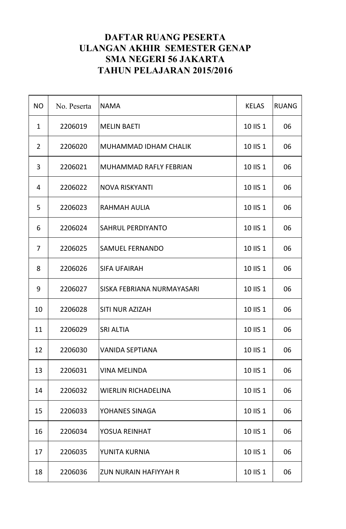| <b>NO</b>      | No. Peserta | <b>NAMA</b>                  | <b>KELAS</b> | <b>RUANG</b> |
|----------------|-------------|------------------------------|--------------|--------------|
| $\mathbf{1}$   | 2206019     | <b>MELIN BAETI</b>           | 10 IIS 1     | 06           |
| $\overline{2}$ | 2206020     | MUHAMMAD IDHAM CHALIK        | 10 IIS 1     | 06           |
| 3              | 2206021     | MUHAMMAD RAFLY FEBRIAN       | 10 IIS 1     | 06           |
| 4              | 2206022     | <b>NOVA RISKYANTI</b>        | 10 IIS 1     | 06           |
| 5              | 2206023     | RAHMAH AULIA                 | 10 IIS 1     | 06           |
| 6              | 2206024     | SAHRUL PERDIYANTO            | 10 IIS 1     | 06           |
| 7              | 2206025     | <b>SAMUEL FERNANDO</b>       | 10 IIS 1     | 06           |
| 8              | 2206026     | <b>SIFA UFAIRAH</b>          | 10 IIS 1     | 06           |
| 9              | 2206027     | SISKA FEBRIANA NURMAYASARI   | 10 IIS 1     | 06           |
| 10             | 2206028     | <b>SITI NUR AZIZAH</b>       | 10 IIS 1     | 06           |
| 11             | 2206029     | <b>SRI ALTIA</b>             | 10 IIS 1     | 06           |
| 12             | 2206030     | VANIDA SEPTIANA              | 10 IIS 1     | 06           |
| 13             | 2206031     | <b>VINA MELINDA</b>          | 10 IIS 1     | 06           |
| 14             | 2206032     | <b>WIERLIN RICHADELINA</b>   | 10 IIS 1     | 06           |
| 15             | 2206033     | YOHANES SINAGA               | 10 IIS 1     | 06           |
| 16             | 2206034     | <b>YOSUA REINHAT</b>         | 10 IIS 1     | 06           |
| 17             | 2206035     | YUNITA KURNIA                | 10 IIS 1     | 06           |
| 18             | 2206036     | <b>ZUN NURAIN HAFIYYAH R</b> | 10 IIS 1     | 06           |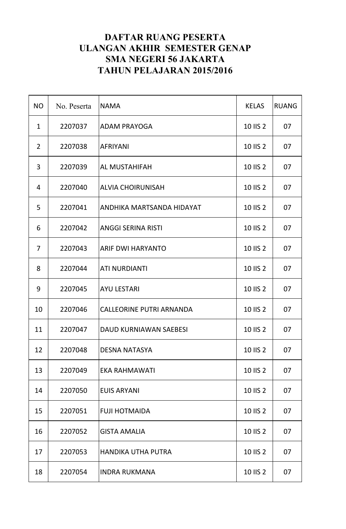| <b>NO</b>      | No. Peserta | <b>NAMA</b>                     | <b>KELAS</b> | <b>RUANG</b> |
|----------------|-------------|---------------------------------|--------------|--------------|
| $\mathbf{1}$   | 2207037     | <b>ADAM PRAYOGA</b>             | 10 IIS 2     | 07           |
| $\overline{2}$ | 2207038     | <b>AFRIYANI</b>                 | 10 IIS 2     | 07           |
| 3              | 2207039     | <b>AL MUSTAHIFAH</b>            | 10 IIS 2     | 07           |
| 4              | 2207040     | <b>ALVIA CHOIRUNISAH</b>        | 10 IIS 2     | 07           |
| 5              | 2207041     | ANDHIKA MARTSANDA HIDAYAT       | 10 IIS 2     | 07           |
| 6              | 2207042     | <b>ANGGI SERINA RISTI</b>       | 10 IIS 2     | 07           |
| $\overline{7}$ | 2207043     | <b>ARIF DWI HARYANTO</b>        | 10 IIS 2     | 07           |
| 8              | 2207044     | <b>ATI NURDIANTI</b>            | 10 IIS 2     | 07           |
| 9              | 2207045     | <b>AYU LESTARI</b>              | 10 IIS 2     | 07           |
| 10             | 2207046     | <b>CALLEORINE PUTRI ARNANDA</b> | 10 IIS 2     | 07           |
| 11             | 2207047     | <b>DAUD KURNIAWAN SAEBESI</b>   | 10 IIS 2     | 07           |
| 12             | 2207048     | <b>DESNA NATASYA</b>            | 10 IIS 2     | 07           |
| 13             | 2207049     | <b>EKA RAHMAWATI</b>            | 10 IIS 2     | 07           |
| 14             | 2207050     | <b>EUIS ARYANI</b>              | 10 IIS 2     | 07           |
| 15             | 2207051     | <b>FUJI HOTMAIDA</b>            | 10 IIS 2     | 07           |
| 16             | 2207052     | <b>GISTA AMALIA</b>             | 10 IIS 2     | 07           |
| 17             | 2207053     | <b>HANDIKA UTHA PUTRA</b>       | 10 IIS 2     | 07           |
| 18             | 2207054     | <b>INDRA RUKMANA</b>            | 10 IIS 2     | 07           |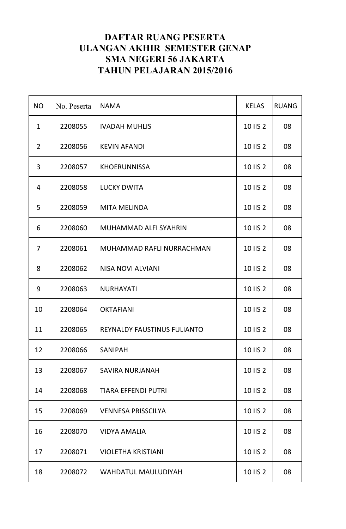| <b>NO</b>      | No. Peserta | <b>NAMA</b>                 | <b>KELAS</b> | <b>RUANG</b> |
|----------------|-------------|-----------------------------|--------------|--------------|
| $\mathbf{1}$   | 2208055     | <b>IVADAH MUHLIS</b>        | 10 IIS 2     | 08           |
| $\overline{2}$ | 2208056     | <b>KEVIN AFANDI</b>         | 10 IIS 2     | 08           |
| 3              | 2208057     | <b>KHOERUNNISSA</b>         | 10 IIS 2     | 08           |
| 4              | 2208058     | <b>LUCKY DWITA</b>          | 10 IIS 2     | 08           |
| 5              | 2208059     | <b>MITA MELINDA</b>         | 10 IIS 2     | 08           |
| 6              | 2208060     | MUHAMMAD ALFI SYAHRIN       | 10 IIS 2     | 08           |
| 7              | 2208061     | MUHAMMAD RAFLI NURRACHMAN   | 10 IIS 2     | 08           |
| 8              | 2208062     | <b>NISA NOVI ALVIANI</b>    | 10 IIS 2     | 08           |
| 9              | 2208063     | <b>NURHAYATI</b>            | 10 IIS 2     | 08           |
| 10             | 2208064     | <b>OKTAFIANI</b>            | 10 IIS 2     | 08           |
| 11             | 2208065     | REYNALDY FAUSTINUS FULIANTO | 10 IIS 2     | 08           |
| 12             | 2208066     | <b>SANIPAH</b>              | 10 IIS 2     | 08           |
| 13             | 2208067     | <b>SAVIRA NURJANAH</b>      | 10 IIS 2     | 08           |
| 14             | 2208068     | <b>TIARA EFFENDI PUTRI</b>  | 10 IIS 2     | 08           |
| 15             | 2208069     | <b>VENNESA PRISSCILYA</b>   | 10 IIS 2     | 08           |
| 16             | 2208070     | <b>VIDYA AMALIA</b>         | 10 IIS 2     | 08           |
| 17             | 2208071     | <b>VIOLETHA KRISTIANI</b>   | 10 IIS 2     | 08           |
| 18             | 2208072     | <b>WAHDATUL MAULUDIYAH</b>  | 10 IIS 2     | 08           |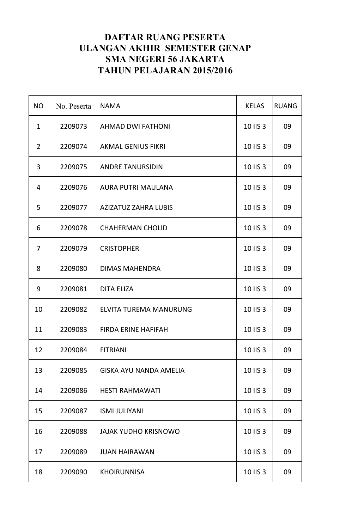| <b>NO</b>      | No. Peserta | <b>NAMA</b>                   | <b>KELAS</b> | <b>RUANG</b> |
|----------------|-------------|-------------------------------|--------------|--------------|
| $\mathbf{1}$   | 2209073     | <b>AHMAD DWI FATHONI</b>      | 10 IIS 3     | 09           |
| $\overline{2}$ | 2209074     | <b>AKMAL GENIUS FIKRI</b>     | 10 IIS 3     | 09           |
| 3              | 2209075     | <b>ANDRE TANURSIDIN</b>       | 10 IIS 3     | 09           |
| 4              | 2209076     | <b>AURA PUTRI MAULANA</b>     | 10 IIS 3     | 09           |
| 5              | 2209077     | <b>AZIZATUZ ZAHRA LUBIS</b>   | 10 IIS 3     | 09           |
| 6              | 2209078     | <b>CHAHERMAN CHOLID</b>       | 10 IIS 3     | 09           |
| 7              | 2209079     | <b>CRISTOPHER</b>             | 10 IIS 3     | 09           |
| 8              | 2209080     | <b>DIMAS MAHENDRA</b>         | 10 IIS 3     | 09           |
| 9              | 2209081     | <b>DITA ELIZA</b>             | 10 IIS 3     | 09           |
| 10             | 2209082     | ELVITA TUREMA MANURUNG        | 10 IIS 3     | 09           |
| 11             | 2209083     | <b>FIRDA ERINE HAFIFAH</b>    | 10 IIS 3     | 09           |
| 12             | 2209084     | FITRIANI                      | 10 IIS 3     | 09           |
| 13             | 2209085     | <b>GISKA AYU NANDA AMELIA</b> | 10 IIS 3     | 09           |
| 14             | 2209086     | <b>HESTI RAHMAWATI</b>        | 10 IIS 3     | 09           |
| 15             | 2209087     | <b>ISMI JULIYANI</b>          | 10 IIS 3     | 09           |
| 16             | 2209088     | <b>JAJAK YUDHO KRISNOWO</b>   | 10 IIS 3     | 09           |
| 17             | 2209089     | <b>JUAN HAIRAWAN</b>          | 10 IIS 3     | 09           |
| 18             | 2209090     | <b>KHOIRUNNISA</b>            | 10 IIS 3     | 09           |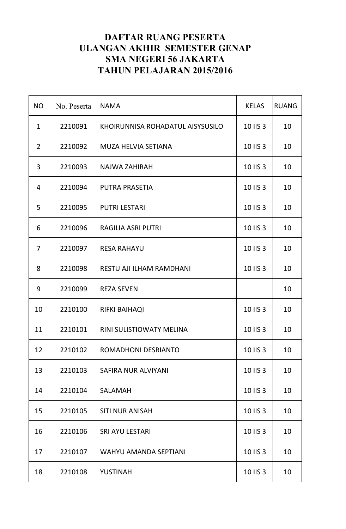| <b>NO</b>      | No. Peserta | <b>NAMA</b>                      | <b>KELAS</b> | <b>RUANG</b> |
|----------------|-------------|----------------------------------|--------------|--------------|
| $\mathbf{1}$   | 2210091     | KHOIRUNNISA ROHADATUL AISYSUSILO | 10 IIS 3     | 10           |
| $\overline{2}$ | 2210092     | <b>MUZA HELVIA SETIANA</b>       | 10 IIS 3     | 10           |
| 3              | 2210093     | <b>NAJWA ZAHIRAH</b>             | 10 IIS 3     | 10           |
| 4              | 2210094     | <b>PUTRA PRASETIA</b>            | 10 IIS 3     | 10           |
| 5              | 2210095     | <b>PUTRI LESTARI</b>             | 10 IIS 3     | 10           |
| 6              | 2210096     | <b>RAGILIA ASRI PUTRI</b>        | 10 IIS 3     | 10           |
| 7              | 2210097     | <b>RESA RAHAYU</b>               | 10 IIS 3     | 10           |
| 8              | 2210098     | RESTU AJI ILHAM RAMDHANI         | 10 IIS 3     | 10           |
| 9              | 2210099     | <b>REZA SEVEN</b>                |              | 10           |
| 10             | 2210100     | <b>RIFKI BAIHAQI</b>             | 10 IIS 3     | 10           |
| 11             | 2210101     | <b>RINI SULISTIOWATY MELINA</b>  | 10 IIS 3     | 10           |
| 12             | 2210102     | <b>ROMADHONI DESRIANTO</b>       | 10 IIS 3     | 10           |
| 13             | 2210103     | <b>SAFIRA NUR ALVIYANI</b>       | 10 IIS 3     | 10           |
| 14             | 2210104     | <b>SALAMAH</b>                   | 10 IIS 3     | 10           |
| 15             | 2210105     | <b>SITI NUR ANISAH</b>           | 10 IIS 3     | 10           |
| 16             | 2210106     | <b>SRI AYU LESTARI</b>           | 10 IIS 3     | 10           |
| 17             | 2210107     | <b>WAHYU AMANDA SEPTIANI</b>     | 10 IIS 3     | 10           |
| 18             | 2210108     | <b>YUSTINAH</b>                  | 10 IIS 3     | 10           |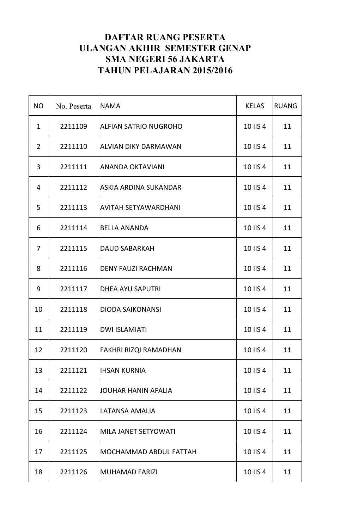| <b>NO</b>      | No. Peserta | <b>NAMA</b>                  | <b>KELAS</b> | <b>RUANG</b> |
|----------------|-------------|------------------------------|--------------|--------------|
| $\mathbf{1}$   | 2211109     | ALFIAN SATRIO NUGROHO        | 10 IIS 4     | 11           |
| $\overline{2}$ | 2211110     | ALVIAN DIKY DARMAWAN         | 10 IIS 4     | 11           |
| 3              | 2211111     | <b>ANANDA OKTAVIANI</b>      | 10 IIS 4     | 11           |
| 4              | 2211112     | ASKIA ARDINA SUKANDAR        | 10 IIS 4     | 11           |
| 5              | 2211113     | <b>AVITAH SETYAWARDHANI</b>  | 10 IIS 4     | 11           |
| 6              | 2211114     | <b>BELLA ANANDA</b>          | 10 IIS 4     | 11           |
| 7              | 2211115     | <b>DAUD SABARKAH</b>         | 10 IIS 4     | 11           |
| 8              | 2211116     | <b>DENY FAUZI RACHMAN</b>    | 10 IIS 4     | 11           |
| 9              | 2211117     | <b>DHEA AYU SAPUTRI</b>      | 10 IIS 4     | 11           |
| 10             | 2211118     | <b>DIODA SAIKONANSI</b>      | 10 IIS 4     | 11           |
| 11             | 2211119     | <b>DWI ISLAMIATI</b>         | 10 IIS 4     | 11           |
| 12             | 2211120     | <b>FAKHRI RIZQI RAMADHAN</b> | 10 IIS 4     | 11           |
| 13             | 2211121     | <b>IHSAN KURNIA</b>          | 10 IIS 4     | 11           |
| 14             | 2211122     | <b>JOUHAR HANIN AFALIA</b>   | 10 IIS 4     | 11           |
| 15             | 2211123     | LATANSA AMALIA               | 10 IIS 4     | 11           |
| 16             | 2211124     | MILA JANET SETYOWATI         | 10 IIS 4     | 11           |
| 17             | 2211125     | MOCHAMMAD ABDUL FATTAH       | 10 IIS 4     | 11           |
| 18             | 2211126     | <b>MUHAMAD FARIZI</b>        | 10 IIS 4     | 11           |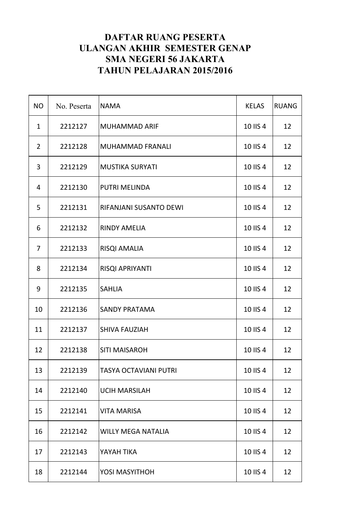| <b>NO</b>      | No. Peserta | <b>NAMA</b>                  | <b>KELAS</b> | <b>RUANG</b> |
|----------------|-------------|------------------------------|--------------|--------------|
| $\mathbf{1}$   | 2212127     | <b>MUHAMMAD ARIF</b>         | 10 IIS 4     | 12           |
| $\overline{2}$ | 2212128     | MUHAMMAD FRANALI             | 10 IIS 4     | 12           |
| 3              | 2212129     | <b>MUSTIKA SURYATI</b>       | 10 IIS 4     | 12           |
| 4              | 2212130     | <b>PUTRI MELINDA</b>         | 10 IIS 4     | 12           |
| 5              | 2212131     | RIFANJANI SUSANTO DEWI       | 10 IIS 4     | 12           |
| 6              | 2212132     | <b>RINDY AMELIA</b>          | 10 IIS 4     | 12           |
| 7              | 2212133     | <b>RISQI AMALIA</b>          | 10 IIS 4     | 12           |
| 8              | 2212134     | RISQI APRIYANTI              | 10 IIS 4     | 12           |
| 9              | 2212135     | <b>SAHLIA</b>                | 10 IIS 4     | 12           |
| 10             | 2212136     | <b>SANDY PRATAMA</b>         | 10 IIS 4     | 12           |
| 11             | 2212137     | <b>SHIVA FAUZIAH</b>         | 10 IIS 4     | 12           |
| 12             | 2212138     | <b>SITI MAISAROH</b>         | 10 IIS 4     | 12           |
| 13             | 2212139     | <b>TASYA OCTAVIANI PUTRI</b> | 10 IIS 4     | 12           |
| 14             | 2212140     | <b>UCIH MARSILAH</b>         | 10 IIS 4     | 12           |
| 15             | 2212141     | <b>VITA MARISA</b>           | 10 IIS 4     | 12           |
| 16             | 2212142     | <b>WILLY MEGA NATALIA</b>    | 10 IIS 4     | 12           |
| 17             | 2212143     | YAYAH TIKA                   | 10 IIS 4     | 12           |
| 18             | 2212144     | <b>YOSI MASYITHOH</b>        | 10 IIS 4     | 12           |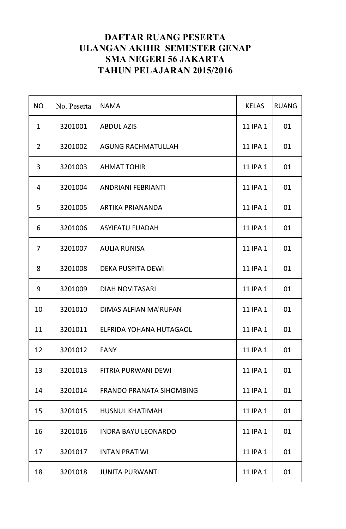| <b>NO</b>      | No. Peserta | <b>NAMA</b>                     | <b>KELAS</b> | <b>RUANG</b> |
|----------------|-------------|---------------------------------|--------------|--------------|
| $\mathbf{1}$   | 3201001     | <b>ABDUL AZIS</b>               | 11 IPA 1     | 01           |
| $\overline{2}$ | 3201002     | <b>AGUNG RACHMATULLAH</b>       | 11 IPA 1     | 01           |
| 3              | 3201003     | <b>AHMAT TOHIR</b>              | 11 IPA 1     | 01           |
| 4              | 3201004     | <b>ANDRIANI FEBRIANTI</b>       | 11 IPA 1     | 01           |
| 5              | 3201005     | ARTIKA PRIANANDA                | 11 IPA 1     | 01           |
| 6              | 3201006     | <b>ASYIFATU FUADAH</b>          | 11 IPA 1     | 01           |
| 7              | 3201007     | <b>AULIA RUNISA</b>             | 11 IPA 1     | 01           |
| 8              | 3201008     | <b>DEKA PUSPITA DEWI</b>        | 11 IPA 1     | 01           |
| 9              | 3201009     | <b>DIAH NOVITASARI</b>          | 11 IPA 1     | 01           |
| 10             | 3201010     | DIMAS ALFIAN MA'RUFAN           | 11 IPA 1     | 01           |
| 11             | 3201011     | ELFRIDA YOHANA HUTAGAOL         | 11 IPA 1     | 01           |
| 12             | 3201012     | <b>FANY</b>                     | 11 IPA 1     | 01           |
| 13             | 3201013     | <b>FITRIA PURWANI DEWI</b>      | 11 IPA 1     | 01           |
| 14             | 3201014     | <b>FRANDO PRANATA SIHOMBING</b> | 11 IPA 1     | 01           |
| 15             | 3201015     | <b>HUSNUL KHATIMAH</b>          | 11 IPA 1     | 01           |
| 16             | 3201016     | <b>INDRA BAYU LEONARDO</b>      | 11 IPA 1     | 01           |
| 17             | 3201017     | <b>INTAN PRATIWI</b>            | 11 IPA 1     | 01           |
| 18             | 3201018     | <b>JUNITA PURWANTI</b>          | 11 IPA 1     | 01           |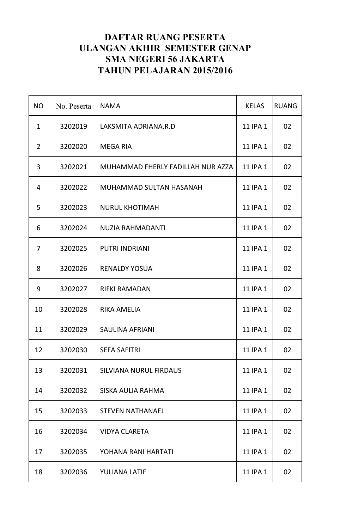| <b>NO</b>    | No. Peserta | <b>NAMA</b>                       | <b>KELAS</b> | <b>RUANG</b> |
|--------------|-------------|-----------------------------------|--------------|--------------|
| $\mathbf{1}$ | 3202019     | LAKSMITA ADRIANA.R.D              | 11 IPA 1     | 02           |
| 2            | 3202020     | MEGA RIA                          | 11 IPA 1     | 02           |
| 3            | 3202021     | MUHAMMAD FHERLY FADILLAH NUR AZZA | 11 IPA 1     | 02           |
| 4            | 3202022     | MUHAMMAD SULTAN HASANAH           | 11 IPA 1     | 02           |
| 5            | 3202023     | <b>NURUL KHOTIMAH</b>             | 11 IPA 1     | 02           |
| 6            | 3202024     | NUZIA RAHMADANTI                  | 11 IPA 1     | 02           |
| 7            | 3202025     | <b>PUTRI INDRIANI</b>             | 11 IPA 1     | 02           |
| 8            | 3202026     | <b>RENALDY YOSUA</b>              | 11 IPA 1     | 02           |
| 9            | 3202027     | <b>RIFKI RAMADAN</b>              | 11 IPA 1     | 02           |
| 10           | 3202028     | <b>RIKA AMELIA</b>                | 11 IPA 1     | 02           |
| 11           | 3202029     | <b>SAULINA AFRIANI</b>            | 11 IPA 1     | 02           |
| 12           | 3202030     | <b>SEFA SAFITRI</b>               | 11 IPA 1     | 02           |
| 13           | 3202031     | <b>SILVIANA NURUL FIRDAUS</b>     | 11 IPA 1     | 02           |
| 14           | 3202032     | <b>SISKA AULIA RAHMA</b>          | 11 IPA 1     | 02           |
| 15           | 3202033     | <b>STEVEN NATHANAEL</b>           | 11 IPA 1     | 02           |
| 16           | 3202034     | <b>VIDYA CLARETA</b>              | 11 IPA 1     | 02           |
| 17           | 3202035     | YOHANA RANI HARTATI               | 11 IPA 1     | 02           |
| 18           | 3202036     | YULIANA LATIF                     | 11 IPA 1     | 02           |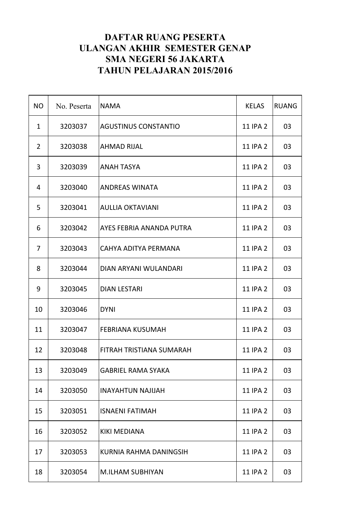| <b>NO</b>      | No. Peserta | <b>NAMA</b>                 | <b>KELAS</b>    | <b>RUANG</b> |
|----------------|-------------|-----------------------------|-----------------|--------------|
| $\mathbf{1}$   | 3203037     | <b>AGUSTINUS CONSTANTIO</b> | 11 IPA 2        | 03           |
| $\overline{2}$ | 3203038     | <b>AHMAD RIJAL</b>          | 11 IPA 2        | 03           |
| 3              | 3203039     | <b>ANAH TASYA</b>           | 11 IPA 2        | 03           |
| 4              | 3203040     | <b>ANDREAS WINATA</b>       | 11 IPA 2        | 03           |
| 5              | 3203041     | <b>AULLIA OKTAVIANI</b>     | 11 IPA 2        | 03           |
| 6              | 3203042     | AYES FEBRIA ANANDA PUTRA    | 11 IPA 2        | 03           |
| 7              | 3203043     | CAHYA ADITYA PERMANA        | 11 IPA 2        | 03           |
| 8              | 3203044     | DIAN ARYANI WULANDARI       | 11 IPA 2        | 03           |
| 9              | 3203045     | <b>DIAN LESTARI</b>         | 11 IPA 2        | 03           |
| 10             | 3203046     | <b>DYNI</b>                 | 11 IPA 2        | 03           |
| 11             | 3203047     | <b>FEBRIANA KUSUMAH</b>     | 11 IPA 2        | 03           |
| 12             | 3203048     | FITRAH TRISTIANA SUMARAH    | 11 IPA 2        | 03           |
| 13             | 3203049     | <b>GABRIEL RAMA SYAKA</b>   | 11 IPA 2        | 03           |
| 14             | 3203050     | <b>INAYAHTUN NAJIJAH</b>    | 11 IPA 2        | 03           |
| 15             | 3203051     | <b>ISNAENI FATIMAH</b>      | 11 IPA 2        | 03           |
| 16             | 3203052     | <b>KIKI MEDIANA</b>         | <b>11 IPA 2</b> | 03           |
| 17             | 3203053     | KURNIA RAHMA DANINGSIH      | <b>11 IPA 2</b> | 03           |
| 18             | 3203054     | <b>M.ILHAM SUBHIYAN</b>     | 11 IPA 2        | 03           |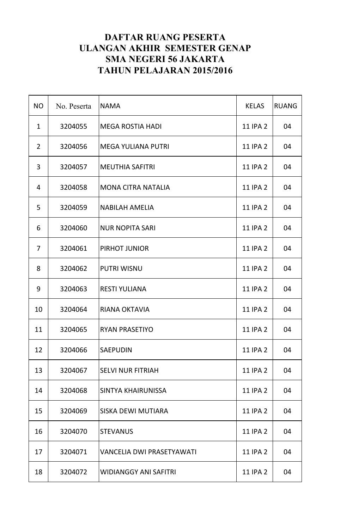| <b>NO</b>      | No. Peserta | <b>NAMA</b>                      | <b>KELAS</b>    | <b>RUANG</b> |
|----------------|-------------|----------------------------------|-----------------|--------------|
| $\mathbf{1}$   | 3204055     | <b>MEGA ROSTIA HADI</b>          | 11 IPA 2        | 04           |
| $\overline{2}$ | 3204056     | <b>MEGA YULIANA PUTRI</b>        | 11 IPA 2        | 04           |
| 3              | 3204057     | <b>MEUTHIA SAFITRI</b>           | 11 IPA 2        | 04           |
| 4              | 3204058     | <b>MONA CITRA NATALIA</b>        | 11 IPA 2        | 04           |
| 5              | 3204059     | <b>NABILAH AMELIA</b>            | 11 IPA 2        | 04           |
| 6              | 3204060     | <b>NUR NOPITA SARI</b>           | 11 IPA 2        | 04           |
| 7              | 3204061     | PIRHOT JUNIOR                    | 11 IPA 2        | 04           |
| 8              | 3204062     | <b>PUTRI WISNU</b>               | 11 IPA 2        | 04           |
| 9              | 3204063     | <b>RESTI YULIANA</b>             | 11 IPA 2        | 04           |
| 10             | 3204064     | RIANA OKTAVIA                    | 11 IPA 2        | 04           |
| 11             | 3204065     | <b>RYAN PRASETIYO</b>            | 11 IPA 2        | 04           |
| 12             | 3204066     | <b>SAEPUDIN</b>                  | <b>11 IPA 2</b> | 04           |
| 13             | 3204067     | <b>SELVI NUR FITRIAH</b>         | <b>11 IPA 2</b> | 04           |
| 14             | 3204068     | <b>SINTYA KHAIRUNISSA</b>        | <b>11 IPA 2</b> | 04           |
| 15             | 3204069     | SISKA DEWI MUTIARA               | <b>11 IPA 2</b> | 04           |
| 16             | 3204070     | <b>STEVANUS</b>                  | 11 IPA 2        | 04           |
| 17             | 3204071     | <b>VANCELIA DWI PRASETYAWATI</b> | 11 IPA 2        | 04           |
| 18             | 3204072     | <b>WIDIANGGY ANI SAFITRI</b>     | 11 IPA 2        | 04           |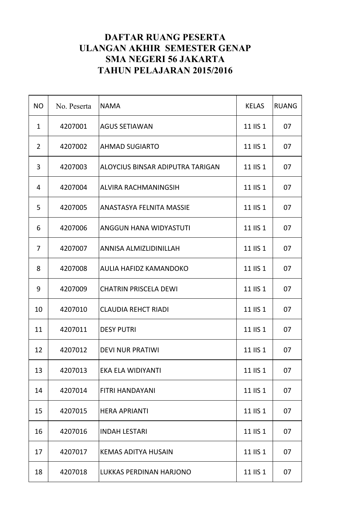| <b>NO</b>      | No. Peserta | <b>NAMA</b>                      | <b>KELAS</b> | <b>RUANG</b> |
|----------------|-------------|----------------------------------|--------------|--------------|
| $\mathbf{1}$   | 4207001     | <b>AGUS SETIAWAN</b>             | 11 IIS 1     | 07           |
| $\overline{2}$ | 4207002     | <b>AHMAD SUGIARTO</b>            | 11 IIS 1     | 07           |
| 3              | 4207003     | ALOYCIUS BINSAR ADIPUTRA TARIGAN | 11 IIS 1     | 07           |
| 4              | 4207004     | ALVIRA RACHMANINGSIH             | 11 IIS 1     | 07           |
| 5              | 4207005     | <b>ANASTASYA FELNITA MASSIE</b>  | 11 IIS 1     | 07           |
| 6              | 4207006     | ANGGUN HANA WIDYASTUTI           | 11 IIS 1     | 07           |
| 7              | 4207007     | ANNISA ALMIZLIDINILLAH           | 11 IIS 1     | 07           |
| 8              | 4207008     | AULIA HAFIDZ KAMANDOKO           | 11 IIS 1     | 07           |
| 9              | 4207009     | <b>CHATRIN PRISCELA DEWI</b>     | 11 IIS 1     | 07           |
| 10             | 4207010     | <b>CLAUDIA REHCT RIADI</b>       | 11 IIS 1     | 07           |
| 11             | 4207011     | <b>DESY PUTRI</b>                | 11 IIS 1     | 07           |
| 12             | 4207012     | <b>DEVI NUR PRATIWI</b>          | 11 IIS 1     | 07           |
| 13             | 4207013     | EKA ELA WIDIYANTI                | 11 IIS 1     | 07           |
| 14             | 4207014     | <b>FITRI HANDAYANI</b>           | 11 IIS 1     | 07           |
| 15             | 4207015     | <b>HERA APRIANTI</b>             | 11 IIS 1     | 07           |
| 16             | 4207016     | <b>INDAH LESTARI</b>             | 11 IIS 1     | 07           |
| 17             | 4207017     | <b>KEMAS ADITYA HUSAIN</b>       | 11 IIS 1     | 07           |
| 18             | 4207018     | LUKKAS PERDINAN HARJONO          | 11 IIS 1     | 07           |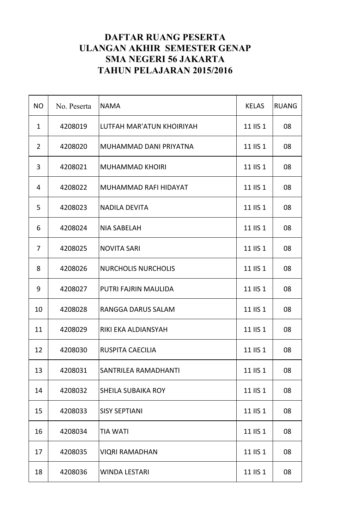| <b>NO</b>      | No. Peserta | <b>NAMA</b>                | <b>KELAS</b> | <b>RUANG</b> |
|----------------|-------------|----------------------------|--------------|--------------|
| $\mathbf{1}$   | 4208019     | LUTFAH MAR'ATUN KHOIRIYAH  | 11 IIS 1     | 08           |
| $\overline{2}$ | 4208020     | MUHAMMAD DANI PRIYATNA     | 11 IIS 1     | 08           |
| 3              | 4208021     | <b>MUHAMMAD KHOIRI</b>     | 11 IIS 1     | 08           |
| 4              | 4208022     | MUHAMMAD RAFI HIDAYAT      | 11 IIS 1     | 08           |
| 5              | 4208023     | <b>NADILA DEVITA</b>       | 11 IIS 1     | 08           |
| 6              | 4208024     | <b>NIA SABELAH</b>         | 11 IIS 1     | 08           |
| 7              | 4208025     | <b>NOVITA SARI</b>         | 11 IIS 1     | 08           |
| 8              | 4208026     | <b>NURCHOLIS NURCHOLIS</b> | 11 IIS 1     | 08           |
| 9              | 4208027     | PUTRI FAJRIN MAULIDA       | 11 IIS 1     | 08           |
| 10             | 4208028     | RANGGA DARUS SALAM         | 11 IIS 1     | 08           |
| 11             | 4208029     | RIKI EKA ALDIANSYAH        | 11 IIS 1     | 08           |
| 12             | 4208030     | <b>RUSPITA CAECILIA</b>    | 11 IIS 1     | 08           |
| 13             | 4208031     | SANTRILEA RAMADHANTI       | 11 IIS 1     | 08           |
| 14             | 4208032     | <b>SHEILA SUBAIKA ROY</b>  | 11 IIS 1     | 08           |
| 15             | 4208033     | <b>SISY SEPTIANI</b>       | 11 IIS 1     | 08           |
| 16             | 4208034     | <b>TIA WATI</b>            | 11 IIS 1     | 08           |
| 17             | 4208035     | <b>VIQRI RAMADHAN</b>      | 11 IIS 1     | 08           |
| 18             | 4208036     | <b>WINDA LESTARI</b>       | 11 IIS 1     | 08           |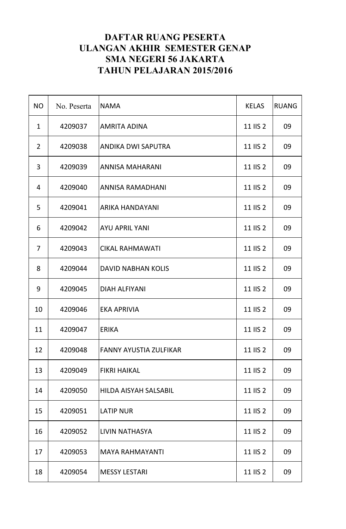| <b>NO</b>      | No. Peserta | <b>NAMA</b>                  | <b>KELAS</b> | <b>RUANG</b> |
|----------------|-------------|------------------------------|--------------|--------------|
| $\mathbf{1}$   | 4209037     | <b>AMRITA ADINA</b>          | 11 IIS 2     | 09           |
| $\overline{2}$ | 4209038     | <b>ANDIKA DWI SAPUTRA</b>    | 11 IIS 2     | 09           |
| 3              | 4209039     | <b>ANNISA MAHARANI</b>       | 11 IIS 2     | 09           |
| 4              | 4209040     | <b>ANNISA RAMADHANI</b>      | 11 IIS 2     | 09           |
| 5              | 4209041     | <b>ARIKA HANDAYANI</b>       | 11 IIS 2     | 09           |
| 6              | 4209042     | <b>AYU APRIL YANI</b>        | 11 IIS 2     | 09           |
| 7              | 4209043     | <b>CIKAL RAHMAWATI</b>       | 11 IIS 2     | 09           |
| 8              | 4209044     | <b>DAVID NABHAN KOLIS</b>    | 11 IIS 2     | 09           |
| 9              | 4209045     | <b>DIAH ALFIYANI</b>         | 11 IIS 2     | 09           |
| 10             | 4209046     | <b>EKA APRIVIA</b>           | 11 IIS 2     | 09           |
| 11             | 4209047     | <b>ERIKA</b>                 | 11 IIS 2     | 09           |
| 12             | 4209048     | FANNY AYUSTIA ZULFIKAR       | 11 IIS 2     | 09           |
| 13             | 4209049     | <b>FIKRI HAIKAL</b>          | 11 IIS 2     | 09           |
| 14             | 4209050     | <b>HILDA AISYAH SALSABIL</b> | 11 IIS 2     | 09           |
| 15             | 4209051     | <b>LATIP NUR</b>             | 11 IIS 2     | 09           |
| 16             | 4209052     | LIVIN NATHASYA               | 11 IIS 2     | 09           |
| 17             | 4209053     | <b>MAYA RAHMAYANTI</b>       | 11 IIS 2     | 09           |
| 18             | 4209054     | <b>MESSY LESTARI</b>         | 11 IIS 2     | 09           |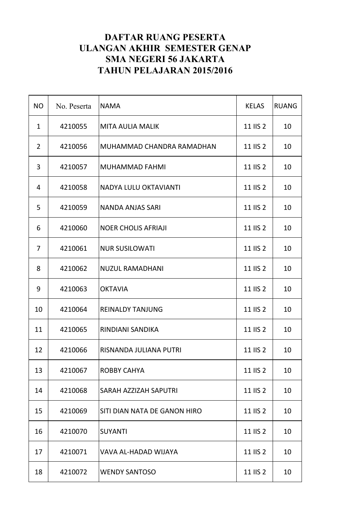| <b>NO</b>      | No. Peserta | <b>NAMA</b>                  | <b>KELAS</b> | <b>RUANG</b> |
|----------------|-------------|------------------------------|--------------|--------------|
| $\mathbf{1}$   | 4210055     | <b>MITA AULIA MALIK</b>      | 11 IIS 2     | 10           |
| $\overline{2}$ | 4210056     | MUHAMMAD CHANDRA RAMADHAN    | 11 IIS 2     | 10           |
| 3              | 4210057     | <b>MUHAMMAD FAHMI</b>        | 11 IIS 2     | 10           |
| 4              | 4210058     | NADYA LULU OKTAVIANTI        | 11 IIS 2     | 10           |
| 5              | 4210059     | <b>NANDA ANJAS SARI</b>      | 11 IIS 2     | 10           |
| 6              | 4210060     | <b>NOER CHOLIS AFRIAJI</b>   | 11 IIS 2     | 10           |
| 7              | 4210061     | <b>NUR SUSILOWATI</b>        | 11 IIS 2     | 10           |
| 8              | 4210062     | <b>NUZUL RAMADHANI</b>       | 11 IIS 2     | 10           |
| 9              | 4210063     | <b>OKTAVIA</b>               | 11 IIS 2     | 10           |
| 10             | 4210064     | <b>REINALDY TANJUNG</b>      | 11 IIS 2     | 10           |
| 11             | 4210065     | RINDIANI SANDIKA             | 11 IIS 2     | 10           |
| 12             | 4210066     | RISNANDA JULIANA PUTRI       | 11 IIS 2     | 10           |
| 13             | 4210067     | <b>ROBBY CAHYA</b>           | 11 IIS 2     | 10           |
| 14             | 4210068     | SARAH AZZIZAH SAPUTRI        | 11 IIS 2     | 10           |
| 15             | 4210069     | SITI DIAN NATA DE GANON HIRO | 11 IIS 2     | 10           |
| 16             | 4210070     | <b>SUYANTI</b>               | 11 IIS 2     | 10           |
| 17             | 4210071     | VAVA AL-HADAD WIJAYA         | 11 IIS 2     | 10           |
| 18             | 4210072     | <b>WENDY SANTOSO</b>         | 11 IIS 2     | 10           |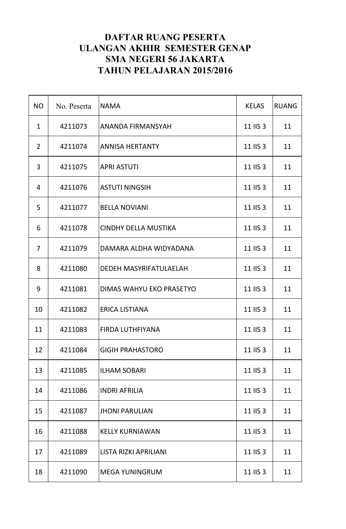| <b>NO</b>      | No. Peserta | <b>NAMA</b>                 | <b>KELAS</b> | <b>RUANG</b> |
|----------------|-------------|-----------------------------|--------------|--------------|
| $\mathbf{1}$   | 4211073     | <b>ANANDA FIRMANSYAH</b>    | 11 IIS 3     | 11           |
| $\overline{2}$ | 4211074     | <b>ANNISA HERTANTY</b>      | 11 IIS 3     | 11           |
| 3              | 4211075     | <b>APRI ASTUTI</b>          | 11 IIS 3     | 11           |
| 4              | 4211076     | <b>ASTUTI NINGSIH</b>       | 11 IIS 3     | 11           |
| 5              | 4211077     | <b>BELLA NOVIANI</b>        | 11 IIS 3     | 11           |
| 6              | 4211078     | <b>CINDHY DELLA MUSTIKA</b> | 11 IIS 3     | 11           |
| $\overline{7}$ | 4211079     | DAMARA ALDHA WIDYADANA      | 11 IIS 3     | 11           |
| 8              | 4211080     | DEDEH MASYRIFATULAELAH      | 11 IIS 3     | 11           |
| 9              | 4211081     | DIMAS WAHYU EKO PRASETYO    | 11 IIS 3     | 11           |
| 10             | 4211082     | <b>ERICA LISTIANA</b>       | 11 IIS 3     | 11           |
| 11             | 4211083     | FIRDA LUTHFIYANA            | 11 IIS 3     | 11           |
| 12             | 4211084     | <b>GIGIH PRAHASTORO</b>     | 11 IIS 3     | 11           |
| 13             | 4211085     | <b>ILHAM SOBARI</b>         | 11 IIS 3     | 11           |
| 14             | 4211086     | <b>INDRI AFRILIA</b>        | 11 IIS 3     | 11           |
| 15             | 4211087     | <b>JHONI PARULIAN</b>       | 11 IIS 3     | 11           |
| 16             | 4211088     | <b>KELLY KURNIAWAN</b>      | 11 IIS 3     | 11           |
| 17             | 4211089     | LISTA RIZKI APRILIANI       | 11 IIS 3     | 11           |
| 18             | 4211090     | <b>MEGA YUNINGRUM</b>       | 11 IIS 3     | 11           |